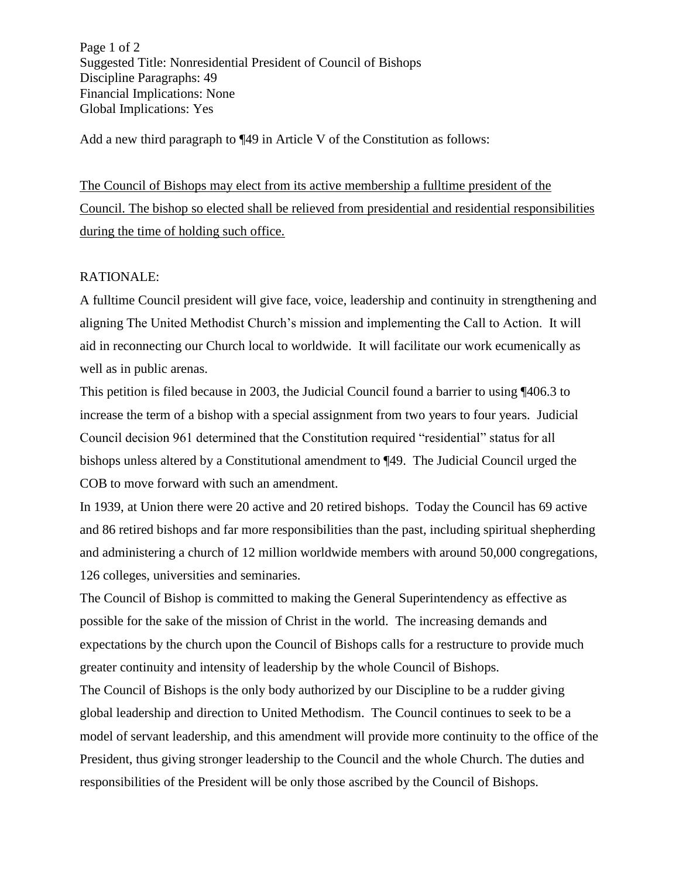Page 1 of 2 Suggested Title: Nonresidential President of Council of Bishops Discipline Paragraphs: 49 Financial Implications: None Global Implications: Yes

Add a new third paragraph to ¶49 in Article V of the Constitution as follows:

The Council of Bishops may elect from its active membership a fulltime president of the Council. The bishop so elected shall be relieved from presidential and residential responsibilities during the time of holding such office.

## RATIONALE:

A fulltime Council president will give face, voice, leadership and continuity in strengthening and aligning The United Methodist Church's mission and implementing the Call to Action. It will aid in reconnecting our Church local to worldwide. It will facilitate our work ecumenically as well as in public arenas.

This petition is filed because in 2003, the Judicial Council found a barrier to using ¶406.3 to increase the term of a bishop with a special assignment from two years to four years. Judicial Council decision 961 determined that the Constitution required "residential" status for all bishops unless altered by a Constitutional amendment to ¶49. The Judicial Council urged the COB to move forward with such an amendment.

In 1939, at Union there were 20 active and 20 retired bishops. Today the Council has 69 active and 86 retired bishops and far more responsibilities than the past, including spiritual shepherding and administering a church of 12 million worldwide members with around 50,000 congregations, 126 colleges, universities and seminaries.

The Council of Bishop is committed to making the General Superintendency as effective as possible for the sake of the mission of Christ in the world. The increasing demands and expectations by the church upon the Council of Bishops calls for a restructure to provide much greater continuity and intensity of leadership by the whole Council of Bishops.

The Council of Bishops is the only body authorized by our Discipline to be a rudder giving global leadership and direction to United Methodism. The Council continues to seek to be a model of servant leadership, and this amendment will provide more continuity to the office of the President, thus giving stronger leadership to the Council and the whole Church. The duties and responsibilities of the President will be only those ascribed by the Council of Bishops.